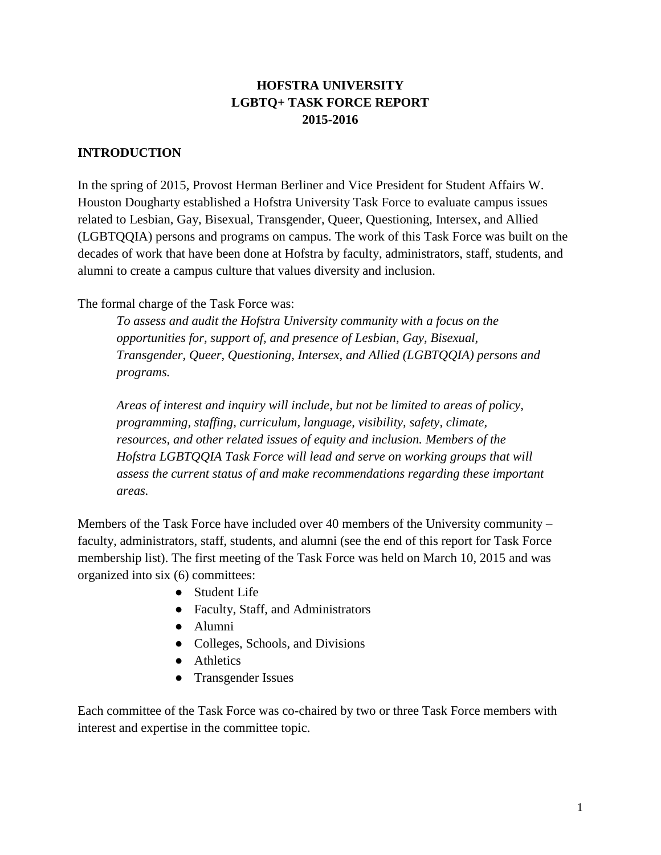## **HOFSTRA UNIVERSITY LGBTQ+ TASK FORCE REPORT 2015-2016**

#### **INTRODUCTION**

In the spring of 2015, Provost Herman Berliner and Vice President for Student Affairs W. Houston Dougharty established a Hofstra University Task Force to evaluate campus issues related to Lesbian, Gay, Bisexual, Transgender, Queer, Questioning, Intersex, and Allied (LGBTQQIA) persons and programs on campus. The work of this Task Force was built on the decades of work that have been done at Hofstra by faculty, administrators, staff, students, and alumni to create a campus culture that values diversity and inclusion.

The formal charge of the Task Force was:

*To assess and audit the Hofstra University community with a focus on the opportunities for, support of, and presence of Lesbian, Gay, Bisexual, Transgender, Queer, Questioning, Intersex, and Allied (LGBTQQIA) persons and programs.*

*Areas of interest and inquiry will include, but not be limited to areas of policy, programming, staffing, curriculum, language, visibility, safety, climate, resources, and other related issues of equity and inclusion. Members of the Hofstra LGBTQQIA Task Force will lead and serve on working groups that will assess the current status of and make recommendations regarding these important areas.*

Members of the Task Force have included over 40 members of the University community – faculty, administrators, staff, students, and alumni (see the end of this report for Task Force membership list). The first meeting of the Task Force was held on March 10, 2015 and was organized into six (6) committees:

- Student Life
- Faculty, Staff, and Administrators
- Alumni
- Colleges, Schools, and Divisions
- Athletics
- Transgender Issues

Each committee of the Task Force was co-chaired by two or three Task Force members with interest and expertise in the committee topic.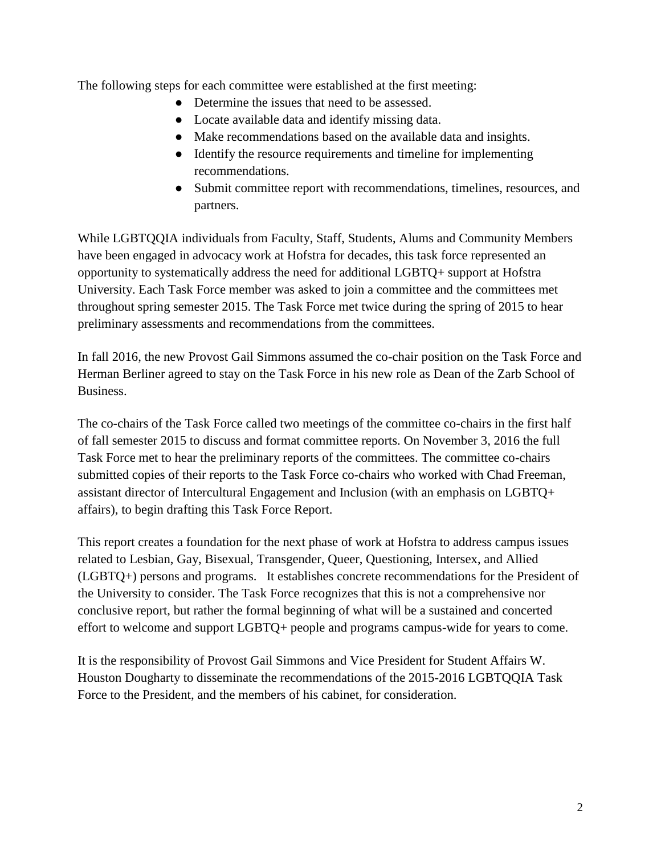The following steps for each committee were established at the first meeting:

- Determine the issues that need to be assessed.
- Locate available data and identify missing data.
- Make recommendations based on the available data and insights.
- Identify the resource requirements and timeline for implementing recommendations.
- Submit committee report with recommendations, timelines, resources, and partners.

While LGBTQQIA individuals from Faculty, Staff, Students, Alums and Community Members have been engaged in advocacy work at Hofstra for decades, this task force represented an opportunity to systematically address the need for additional LGBTQ+ support at Hofstra University. Each Task Force member was asked to join a committee and the committees met throughout spring semester 2015. The Task Force met twice during the spring of 2015 to hear preliminary assessments and recommendations from the committees.

In fall 2016, the new Provost Gail Simmons assumed the co-chair position on the Task Force and Herman Berliner agreed to stay on the Task Force in his new role as Dean of the Zarb School of Business.

The co-chairs of the Task Force called two meetings of the committee co-chairs in the first half of fall semester 2015 to discuss and format committee reports. On November 3, 2016 the full Task Force met to hear the preliminary reports of the committees. The committee co-chairs submitted copies of their reports to the Task Force co-chairs who worked with Chad Freeman, assistant director of Intercultural Engagement and Inclusion (with an emphasis on LGBTQ+ affairs), to begin drafting this Task Force Report.

This report creates a foundation for the next phase of work at Hofstra to address campus issues related to Lesbian, Gay, Bisexual, Transgender, Queer, Questioning, Intersex, and Allied (LGBTQ+) persons and programs. It establishes concrete recommendations for the President of the University to consider. The Task Force recognizes that this is not a comprehensive nor conclusive report, but rather the formal beginning of what will be a sustained and concerted effort to welcome and support LGBTQ+ people and programs campus-wide for years to come.

It is the responsibility of Provost Gail Simmons and Vice President for Student Affairs W. Houston Dougharty to disseminate the recommendations of the 2015-2016 LGBTQQIA Task Force to the President, and the members of his cabinet, for consideration.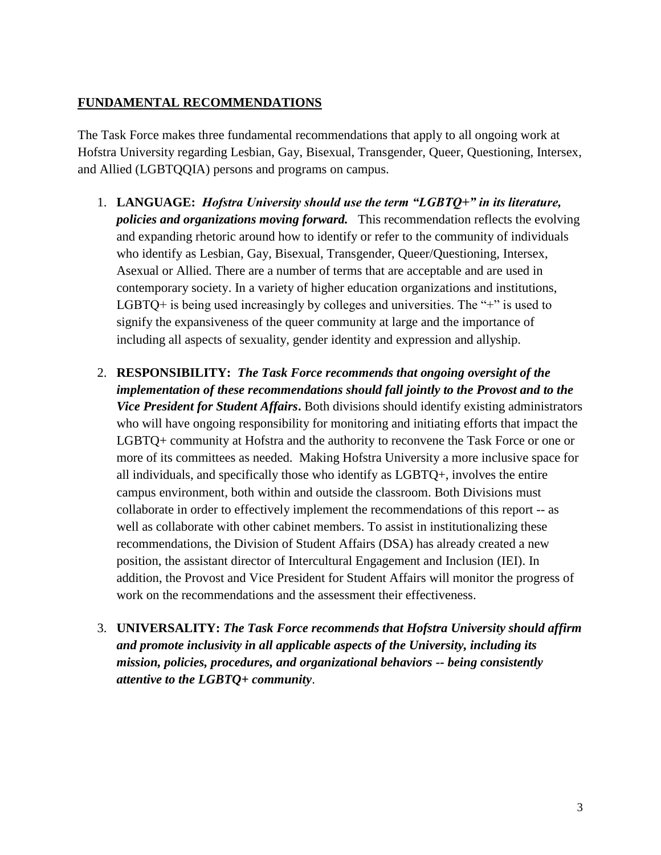#### **FUNDAMENTAL RECOMMENDATIONS**

The Task Force makes three fundamental recommendations that apply to all ongoing work at Hofstra University regarding Lesbian, Gay, Bisexual, Transgender, Queer, Questioning, Intersex, and Allied (LGBTQQIA) persons and programs on campus.

- 1. **LANGUAGE:** *Hofstra University should use the term "LGBTQ+" in its literature, policies and organizations moving forward.* This recommendation reflects the evolving and expanding rhetoric around how to identify or refer to the community of individuals who identify as Lesbian, Gay, Bisexual, Transgender, Queer/Questioning, Intersex, Asexual or Allied. There are a number of terms that are acceptable and are used in contemporary society. In a variety of higher education organizations and institutions, LGBTQ+ is being used increasingly by colleges and universities. The "+" is used to signify the expansiveness of the queer community at large and the importance of including all aspects of sexuality, gender identity and expression and allyship.
- 2. **RESPONSIBILITY:** *The Task Force recommends that ongoing oversight of the implementation of these recommendations should fall jointly to the Provost and to the Vice President for Student Affairs***.** Both divisions should identify existing administrators who will have ongoing responsibility for monitoring and initiating efforts that impact the LGBTQ+ community at Hofstra and the authority to reconvene the Task Force or one or more of its committees as needed.Making Hofstra University a more inclusive space for all individuals, and specifically those who identify as LGBTQ+, involves the entire campus environment, both within and outside the classroom. Both Divisions must collaborate in order to effectively implement the recommendations of this report -- as well as collaborate with other cabinet members. To assist in institutionalizing these recommendations, the Division of Student Affairs (DSA) has already created a new position, the assistant director of Intercultural Engagement and Inclusion (IEI). In addition, the Provost and Vice President for Student Affairs will monitor the progress of work on the recommendations and the assessment their effectiveness.
- 3. **UNIVERSALITY:** *The Task Force recommends that Hofstra University should affirm and promote inclusivity in all applicable aspects of the University, including its mission, policies, procedures, and organizational behaviors -- being consistently attentive to the LGBTQ+ community*.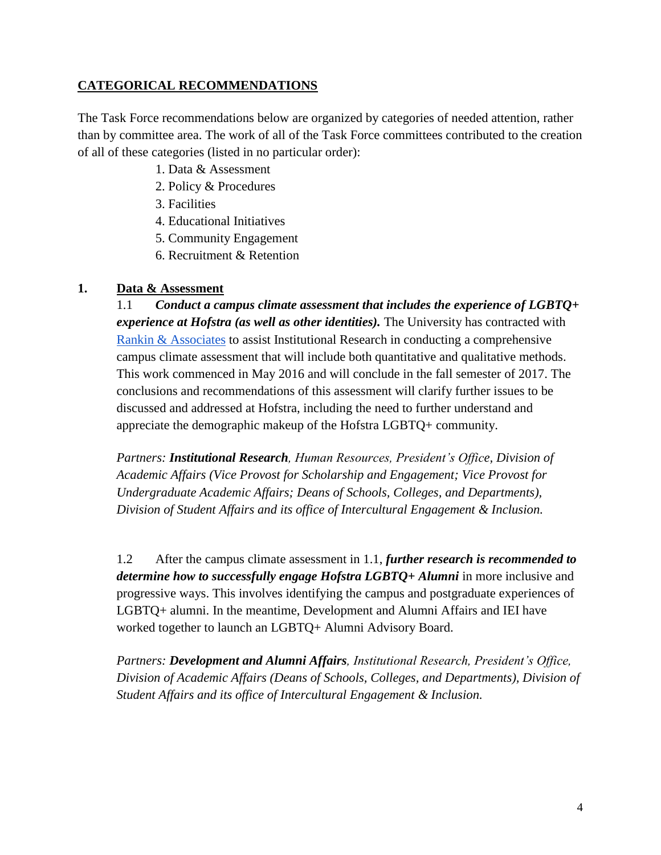#### **CATEGORICAL RECOMMENDATIONS**

The Task Force recommendations below are organized by categories of needed attention, rather than by committee area. The work of all of the Task Force committees contributed to the creation of all of these categories (listed in no particular order):

- 1. Data & Assessment
- 2. Policy & Procedures
- 3. Facilities
- 4. Educational Initiatives
- 5. Community Engagement
- 6. Recruitment & Retention

#### **1. Data & Assessment**

1.1 *Conduct a campus climate assessment that includes the experience of LGBTQ+ experience at Hofstra (as well as other identities).* The University has contracted with [Rankin & Associates](http://rankin-consulting.com/) to assist Institutional Research in conducting a comprehensive campus climate assessment that will include both quantitative and qualitative methods. This work commenced in May 2016 and will conclude in the fall semester of 2017. The conclusions and recommendations of this assessment will clarify further issues to be discussed and addressed at Hofstra, including the need to further understand and appreciate the demographic makeup of the Hofstra LGBTQ+ community.

*Partners: Institutional Research, Human Resources, President's Office, Division of Academic Affairs (Vice Provost for Scholarship and Engagement; Vice Provost for Undergraduate Academic Affairs; Deans of Schools, Colleges, and Departments), Division of Student Affairs and its office of Intercultural Engagement & Inclusion.*

1.2 After the campus climate assessment in 1.1, *further research is recommended to determine how to successfully engage Hofstra LGBTQ+ Alumni* in more inclusive and progressive ways. This involves identifying the campus and postgraduate experiences of LGBTQ+ alumni. In the meantime, Development and Alumni Affairs and IEI have worked together to launch an LGBTQ+ Alumni Advisory Board.

*Partners: Development and Alumni Affairs, Institutional Research, President's Office, Division of Academic Affairs (Deans of Schools, Colleges, and Departments), Division of Student Affairs and its office of Intercultural Engagement & Inclusion.*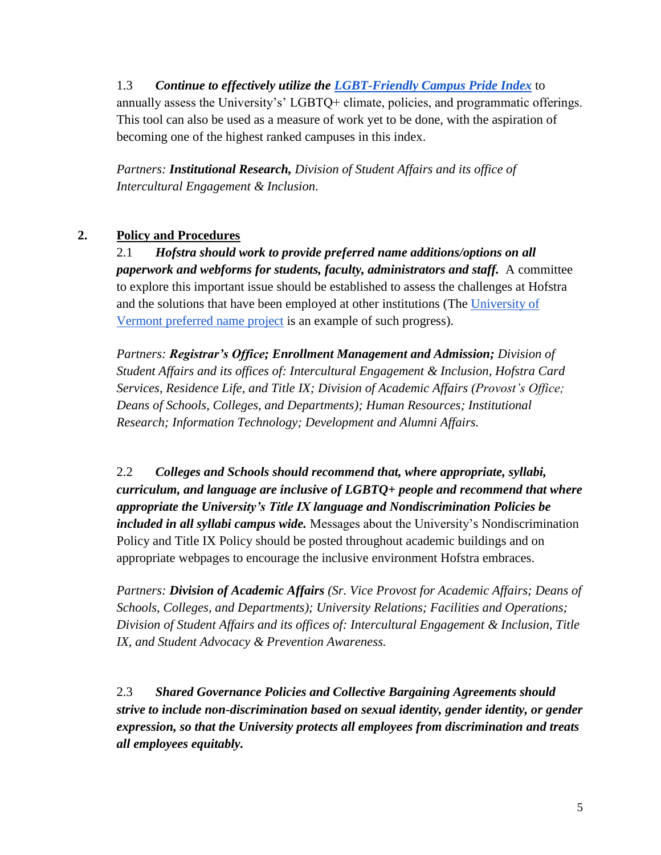# 1.3 *Continue to effectively utilize the [LGBT-Friendly Campus Pride Index](http://www.campusprideindex.org/)* to annually assess the University's' LGBTQ+ climate, policies, and programmatic offerings. This tool can also be used as a measure of work yet to be done, with the aspiration of becoming one of the highest ranked campuses in this index.

*Partners: Institutional Research, Division of Student Affairs and its office of Intercultural Engagement & Inclusion.*

# **2. Policy and Procedures**

2.1 *Hofstra should work to provide preferred name additions/options on all paperwork and webforms for students, faculty, administrators and staff.* A committee to explore this important issue should be established to assess the challenges at Hofstra and the solutions that have been employed at other institutions (The [University of](http://www.uvm.edu/~rgweb/?Page=policiesandprocedures/p_preferredname.html&SM=p_menu.html)  [Vermont preferred name project](http://www.uvm.edu/~rgweb/?Page=policiesandprocedures/p_preferredname.html&SM=p_menu.html) is an example of such progress).

*Partners: Registrar's Office; Enrollment Management and Admission; Division of Student Affairs and its offices of: Intercultural Engagement & Inclusion, Hofstra Card Services, Residence Life, and Title IX; Division of Academic Affairs (Provost's Office; Deans of Schools, Colleges, and Departments); Human Resources; Institutional Research; Information Technology; Development and Alumni Affairs.*

2.2 *Colleges and Schools should recommend that, where appropriate, syllabi, curriculum, and language are inclusive of LGBTQ+ people and recommend that where appropriate the University's Title IX language and Nondiscrimination Policies be included in all syllabi campus wide.* Messages about the University's Nondiscrimination Policy and Title IX Policy should be posted throughout academic buildings and on appropriate webpages to encourage the inclusive environment Hofstra embraces.

*Partners: Division of Academic Affairs (Sr. Vice Provost for Academic Affairs; Deans of Schools, Colleges, and Departments); University Relations; Facilities and Operations; Division of Student Affairs and its offices of: Intercultural Engagement & Inclusion, Title IX, and Student Advocacy & Prevention Awareness.*

2.3 *Shared Governance Policies and Collective Bargaining Agreements should strive to include non-discrimination based on sexual identity, gender identity, or gender expression, so that the University protects all employees from discrimination and treats all employees equitably.*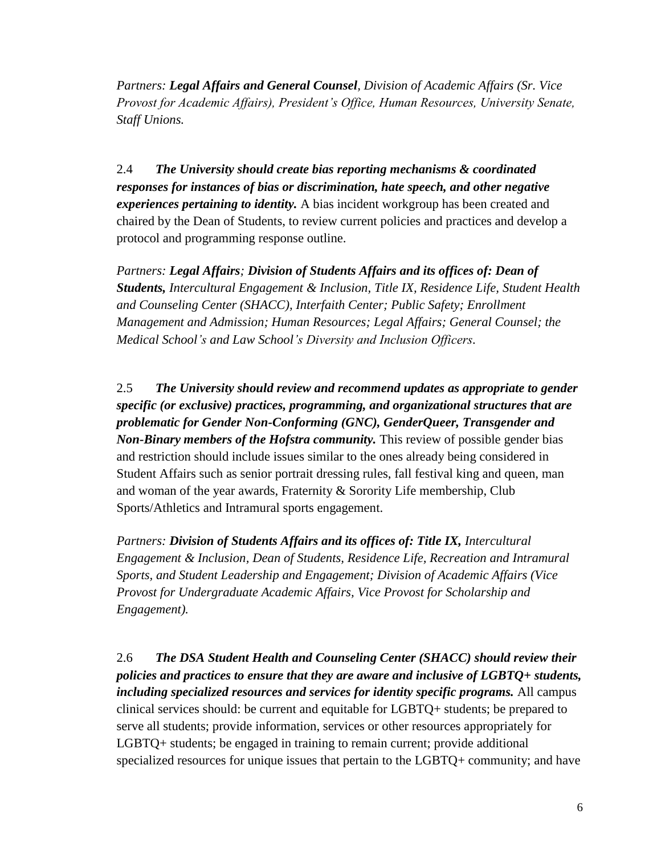*Partners: Legal Affairs and General Counsel, Division of Academic Affairs (Sr. Vice Provost for Academic Affairs), President's Office, Human Resources, University Senate, Staff Unions.* 

2.4 *The University should create bias reporting mechanisms & coordinated responses for instances of bias or discrimination, hate speech, and other negative experiences pertaining to identity.* A bias incident workgroup has been created and chaired by the Dean of Students, to review current policies and practices and develop a protocol and programming response outline.

*Partners: Legal Affairs; Division of Students Affairs and its offices of: Dean of Students, Intercultural Engagement & Inclusion, Title IX, Residence Life, Student Health and Counseling Center (SHACC), Interfaith Center; Public Safety; Enrollment Management and Admission; Human Resources; Legal Affairs; General Counsel; the Medical School's and Law School's Diversity and Inclusion Officers.*

2.5 *The University should review and recommend updates as appropriate to gender specific (or exclusive) practices, programming, and organizational structures that are problematic for Gender Non-Conforming (GNC), GenderQueer, Transgender and Non-Binary members of the Hofstra community.* This review of possible gender bias and restriction should include issues similar to the ones already being considered in Student Affairs such as senior portrait dressing rules, fall festival king and queen, man and woman of the year awards, Fraternity & Sorority Life membership, Club Sports/Athletics and Intramural sports engagement.

*Partners: Division of Students Affairs and its offices of: Title IX, Intercultural Engagement & Inclusion, Dean of Students, Residence Life, Recreation and Intramural Sports, and Student Leadership and Engagement; Division of Academic Affairs (Vice Provost for Undergraduate Academic Affairs, Vice Provost for Scholarship and Engagement).*

2.6 *The DSA Student Health and Counseling Center (SHACC) should review their policies and practices to ensure that they are aware and inclusive of LGBTQ+ students, including specialized resources and services for identity specific programs.* All campus clinical services should: be current and equitable for LGBTQ+ students; be prepared to serve all students; provide information, services or other resources appropriately for LGBTQ+ students; be engaged in training to remain current; provide additional specialized resources for unique issues that pertain to the LGBTQ+ community; and have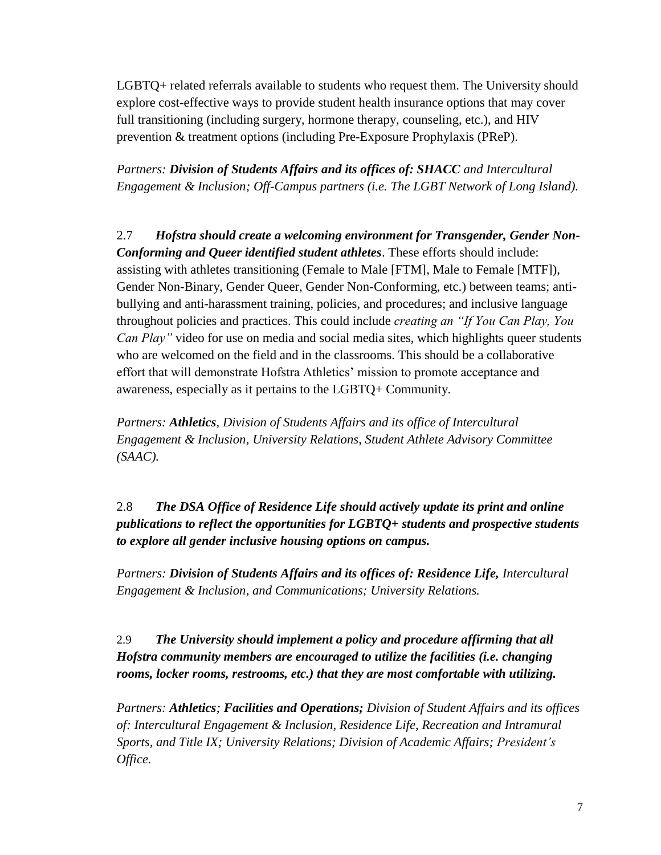LGBTQ+ related referrals available to students who request them. The University should explore cost-effective ways to provide student health insurance options that may cover full transitioning (including surgery, hormone therapy, counseling, etc.), and HIV prevention & treatment options (including Pre-Exposure Prophylaxis (PReP).

*Partners: Division of Students Affairs and its offices of: SHACC and Intercultural Engagement & Inclusion; Off-Campus partners (i.e. The LGBT Network of Long Island).*

2.7 *Hofstra should create a welcoming environment for Transgender, Gender Non-Conforming and Queer identified student athletes*. These efforts should include: assisting with athletes transitioning (Female to Male [FTM], Male to Female [MTF]), Gender Non-Binary, Gender Queer, Gender Non-Conforming, etc.) between teams; antibullying and anti-harassment training, policies, and procedures; and inclusive language throughout policies and practices. This could include *creating an "If You Can Play, You Can Play"* video for use on media and social media sites, which highlights queer students who are welcomed on the field and in the classrooms. This should be a collaborative effort that will demonstrate Hofstra Athletics' mission to promote acceptance and awareness, especially as it pertains to the LGBTQ+ Community.

*Partners: Athletics, Division of Students Affairs and its office of Intercultural Engagement & Inclusion, University Relations, Student Athlete Advisory Committee (SAAC).*

2.8 *The DSA Office of Residence Life should actively update its print and online publications to reflect the opportunities for LGBTQ+ students and prospective students to explore all gender inclusive housing options on campus.*

*Partners: Division of Students Affairs and its offices of: Residence Life, Intercultural Engagement & Inclusion, and Communications; University Relations.*

2.9 *The University should implement a policy and procedure affirming that all Hofstra community members are encouraged to utilize the facilities (i.e. changing rooms, locker rooms, restrooms, etc.) that they are most comfortable with utilizing.*

*Partners: Athletics; Facilities and Operations; Division of Student Affairs and its offices of: Intercultural Engagement & Inclusion, Residence Life, Recreation and Intramural Sports, and Title IX; University Relations; Division of Academic Affairs; President's Office.*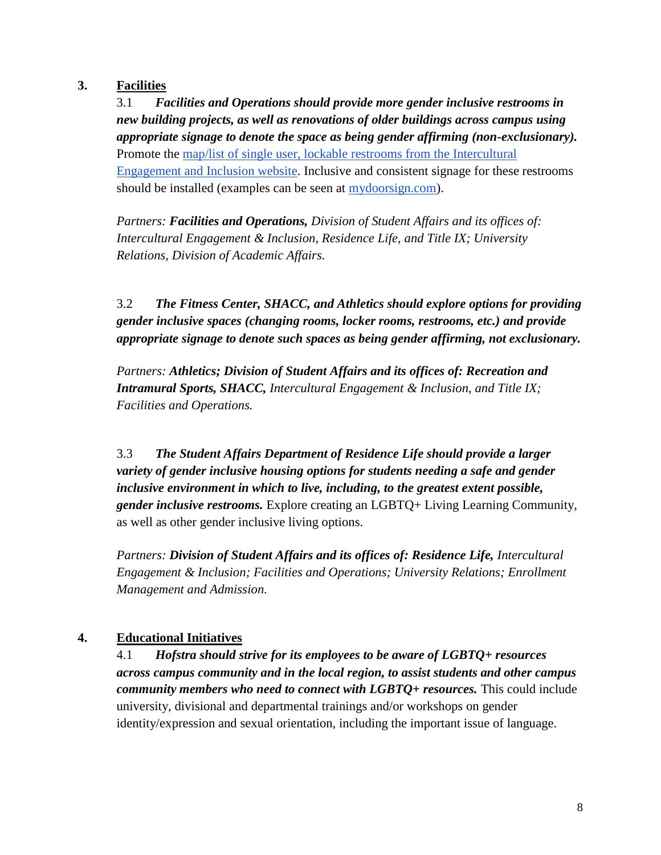#### **3. Facilities**

3.1 *Facilities and Operations should provide more gender inclusive restrooms in new building projects, as well as renovations of older buildings across campus using appropriate signage to denote the space as being gender affirming (non-exclusionary).* Promote the [map/list of single user, lockable restrooms from the Intercultural](http://www.hofstra.edu/studentaffairs/lgbtq/bathrooms.html)  [Engagement and Inclusion website.](http://www.hofstra.edu/studentaffairs/lgbtq/bathrooms.html) Inclusive and consistent signage for these restrooms should be installed (examples can be seen at [mydoorsign.com\)](http://www.mydoorsign.com/restroom-signs).

*Partners: Facilities and Operations, Division of Student Affairs and its offices of: Intercultural Engagement & Inclusion, Residence Life, and Title IX; University Relations, Division of Academic Affairs.*

3.2 *The Fitness Center, SHACC, and Athletics should explore options for providing gender inclusive spaces (changing rooms, locker rooms, restrooms, etc.) and provide appropriate signage to denote such spaces as being gender affirming, not exclusionary.*

*Partners: Athletics; Division of Student Affairs and its offices of: Recreation and Intramural Sports, SHACC, Intercultural Engagement & Inclusion, and Title IX; Facilities and Operations.*

3.3 *The Student Affairs Department of Residence Life should provide a larger variety of gender inclusive housing options for students needing a safe and gender inclusive environment in which to live, including, to the greatest extent possible, gender inclusive restrooms.* Explore creating an LGBTQ+ Living Learning Community, as well as other gender inclusive living options.

*Partners: Division of Student Affairs and its offices of: Residence Life, Intercultural Engagement & Inclusion; Facilities and Operations; University Relations; Enrollment Management and Admission.*

## **4. Educational Initiatives**

4.1 *Hofstra should strive for its employees to be aware of LGBTQ+ resources across campus community and in the local region, to assist students and other campus community members who need to connect with LGBTQ+ resources.* This could include university, divisional and departmental trainings and/or workshops on gender identity/expression and sexual orientation, including the important issue of language.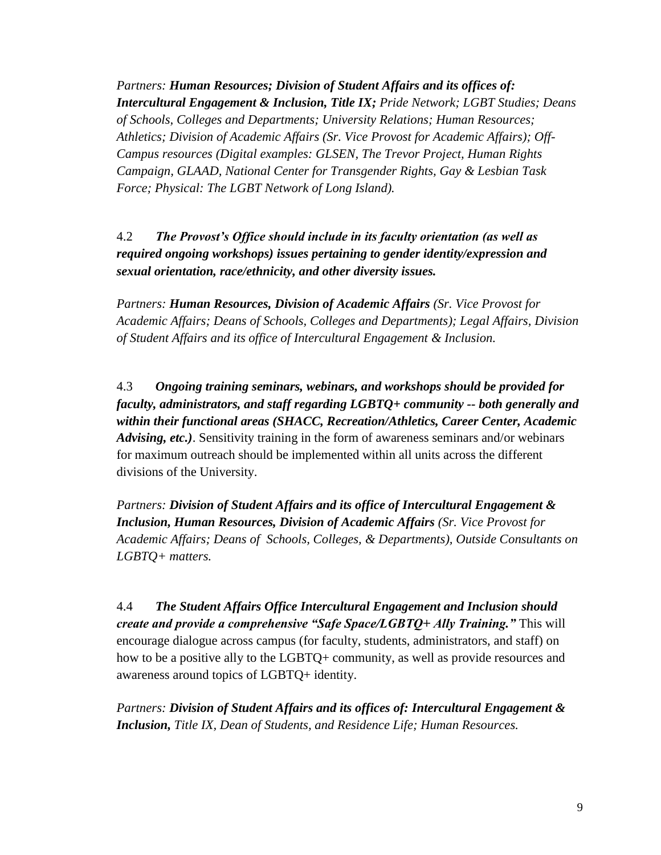*Partners: Human Resources; Division of Student Affairs and its offices of: Intercultural Engagement & Inclusion, Title IX; Pride Network; LGBT Studies; Deans of Schools, Colleges and Departments; University Relations; Human Resources; Athletics; Division of Academic Affairs (Sr. Vice Provost for Academic Affairs); Off-Campus resources (Digital examples: GLSEN, The Trevor Project, Human Rights Campaign, GLAAD, National Center for Transgender Rights, Gay & Lesbian Task Force; Physical: The LGBT Network of Long Island).* 

4.2 *The Provost's Office should include in its faculty orientation (as well as required ongoing workshops) issues pertaining to gender identity/expression and sexual orientation, race/ethnicity, and other diversity issues.*

*Partners: Human Resources, Division of Academic Affairs (Sr. Vice Provost for Academic Affairs; Deans of Schools, Colleges and Departments); Legal Affairs, Division of Student Affairs and its office of Intercultural Engagement & Inclusion.* 

4.3 *Ongoing training seminars, webinars, and workshops should be provided for faculty, administrators, and staff regarding LGBTQ+ community -- both generally and within their functional areas (SHACC, Recreation/Athletics, Career Center, Academic Advising, etc.)*. Sensitivity training in the form of awareness seminars and/or webinars for maximum outreach should be implemented within all units across the different divisions of the University.

*Partners: Division of Student Affairs and its office of Intercultural Engagement & Inclusion, Human Resources, Division of Academic Affairs (Sr. Vice Provost for Academic Affairs; Deans of Schools, Colleges, & Departments), Outside Consultants on LGBTQ+ matters.* 

4.4 *The Student Affairs Office Intercultural Engagement and Inclusion should create and provide a comprehensive "Safe Space/LGBTQ+ Ally Training."* This will encourage dialogue across campus (for faculty, students, administrators, and staff) on how to be a positive ally to the LGBTQ+ community, as well as provide resources and awareness around topics of LGBTQ+ identity.

*Partners: Division of Student Affairs and its offices of: Intercultural Engagement & Inclusion, Title IX, Dean of Students, and Residence Life; Human Resources.*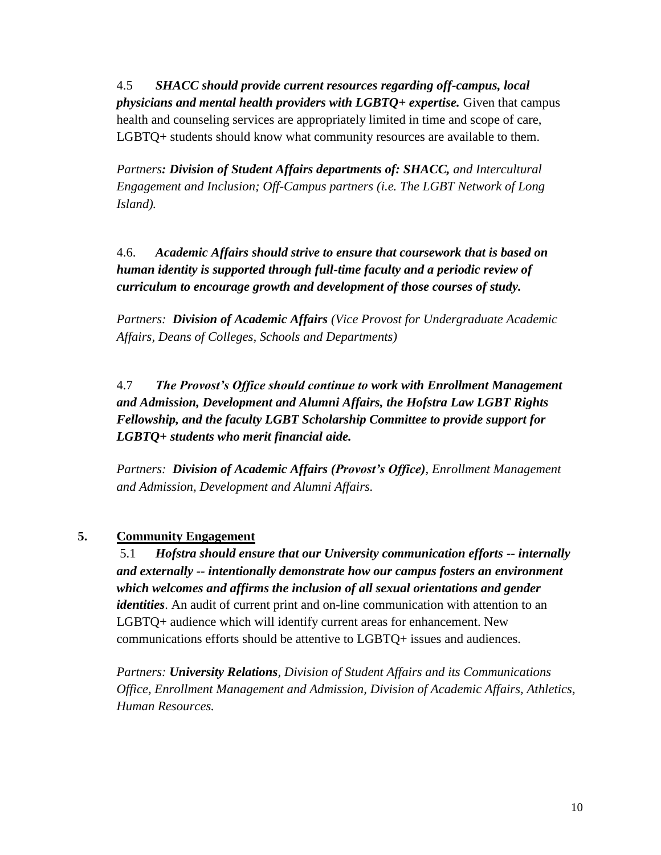4.5 *SHACC should provide current resources regarding off-campus, local physicians and mental health providers with LGBTQ+ expertise.* Given that campus health and counseling services are appropriately limited in time and scope of care, LGBTQ+ students should know what community resources are available to them.

*Partners: Division of Student Affairs departments of: SHACC, and Intercultural Engagement and Inclusion; Off-Campus partners (i.e. The LGBT Network of Long Island).*

4.6. *Academic Affairs should strive to ensure that coursework that is based on human identity is supported through full-time faculty and a periodic review of curriculum to encourage growth and development of those courses of study.*

*Partners: Division of Academic Affairs (Vice Provost for Undergraduate Academic Affairs, Deans of Colleges, Schools and Departments)*

4.7 *The Provost's Office should continue to work with Enrollment Management and Admission, Development and Alumni Affairs, the Hofstra Law LGBT Rights Fellowship, and the faculty LGBT Scholarship Committee to provide support for LGBTQ+ students who merit financial aide.*

*Partners: Division of Academic Affairs (Provost's Office), Enrollment Management and Admission, Development and Alumni Affairs.*

## **5. Community Engagement**

5.1 *Hofstra should ensure that our University communication efforts -- internally and externally -- intentionally demonstrate how our campus fosters an environment which welcomes and affirms the inclusion of all sexual orientations and gender identities*. An audit of current print and on-line communication with attention to an LGBTQ+ audience which will identify current areas for enhancement. New communications efforts should be attentive to LGBTQ+ issues and audiences.

*Partners: University Relations, Division of Student Affairs and its Communications Office, Enrollment Management and Admission, Division of Academic Affairs, Athletics, Human Resources.*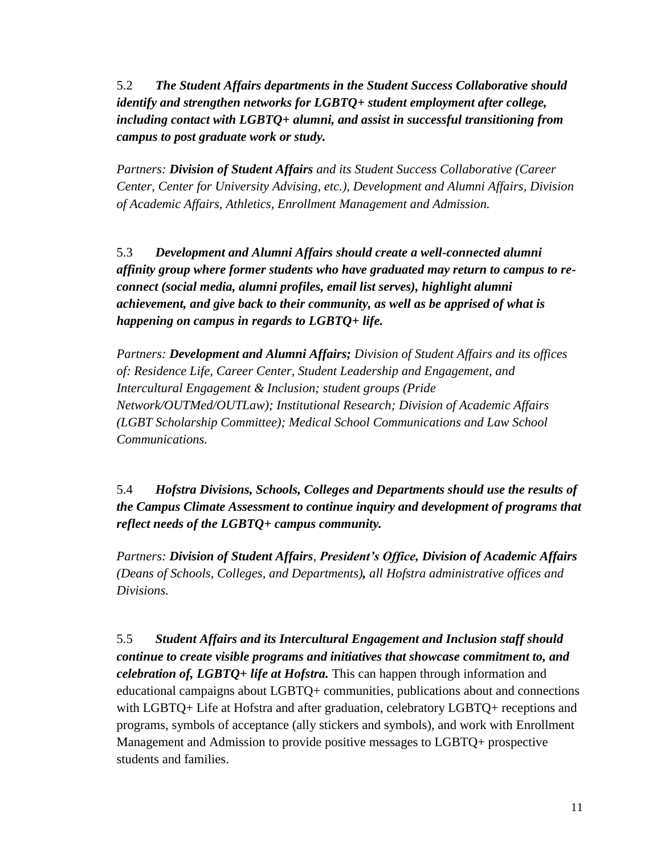5.2 *The Student Affairs departments in the Student Success Collaborative should identify and strengthen networks for LGBTQ+ student employment after college, including contact with LGBTQ+ alumni, and assist in successful transitioning from campus to post graduate work or study.*

*Partners: Division of Student Affairs and its Student Success Collaborative (Career Center, Center for University Advising, etc.), Development and Alumni Affairs, Division of Academic Affairs, Athletics, Enrollment Management and Admission.*

5.3 *Development and Alumni Affairs should create a well-connected alumni affinity group where former students who have graduated may return to campus to reconnect (social media, alumni profiles, email list serves), highlight alumni achievement, and give back to their community, as well as be apprised of what is happening on campus in regards to LGBTQ+ life.*

*Partners: Development and Alumni Affairs; Division of Student Affairs and its offices of: Residence Life, Career Center, Student Leadership and Engagement, and Intercultural Engagement & Inclusion; student groups (Pride Network/OUTMed/OUTLaw); Institutional Research; Division of Academic Affairs (LGBT Scholarship Committee); Medical School Communications and Law School Communications.*

5.4 *Hofstra Divisions, Schools, Colleges and Departments should use the results of the Campus Climate Assessment to continue inquiry and development of programs that reflect needs of the LGBTQ+ campus community.*

*Partners: Division of Student Affairs, President's Office, Division of Academic Affairs (Deans of Schools, Colleges, and Departments), all Hofstra administrative offices and Divisions.*

5.5 *Student Affairs and its Intercultural Engagement and Inclusion staff should continue to create visible programs and initiatives that showcase commitment to, and celebration of, LGBTQ+ life at Hofstra.* This can happen through information and educational campaigns about LGBTQ+ communities, publications about and connections with LGBTQ+ Life at Hofstra and after graduation, celebratory LGBTQ+ receptions and programs, symbols of acceptance (ally stickers and symbols), and work with Enrollment Management and Admission to provide positive messages to LGBTQ+ prospective students and families.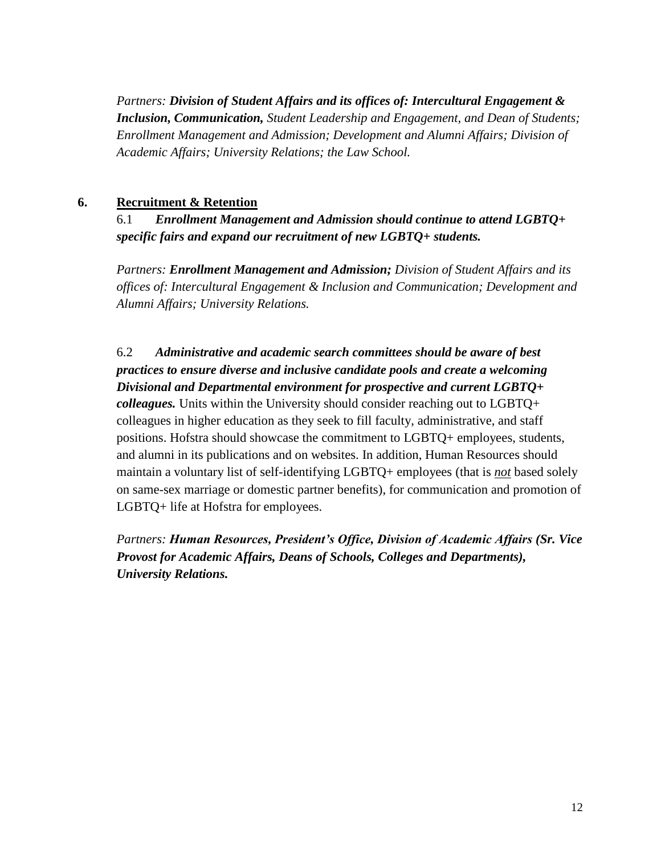*Partners: Division of Student Affairs and its offices of: Intercultural Engagement & Inclusion, Communication, Student Leadership and Engagement, and Dean of Students; Enrollment Management and Admission; Development and Alumni Affairs; Division of Academic Affairs; University Relations; the Law School.*

#### **6. Recruitment & Retention**

# 6.1 *Enrollment Management and Admission should continue to attend LGBTQ+ specific fairs and expand our recruitment of new LGBTQ+ students.*

*Partners: Enrollment Management and Admission; Division of Student Affairs and its offices of: Intercultural Engagement & Inclusion and Communication; Development and Alumni Affairs; University Relations.*

6.2 *Administrative and academic search committees should be aware of best practices to ensure diverse and inclusive candidate pools and create a welcoming Divisional and Departmental environment for prospective and current LGBTQ+ colleagues.* Units within the University should consider reaching out to LGBTQ+ colleagues in higher education as they seek to fill faculty, administrative, and staff positions. Hofstra should showcase the commitment to LGBTQ+ employees, students, and alumni in its publications and on websites. In addition, Human Resources should maintain a voluntary list of self-identifying LGBTQ+ employees (that is *not* based solely on same-sex marriage or domestic partner benefits), for communication and promotion of LGBTQ+ life at Hofstra for employees.

*Partners: Human Resources, President's Office, Division of Academic Affairs (Sr. Vice Provost for Academic Affairs, Deans of Schools, Colleges and Departments), University Relations.*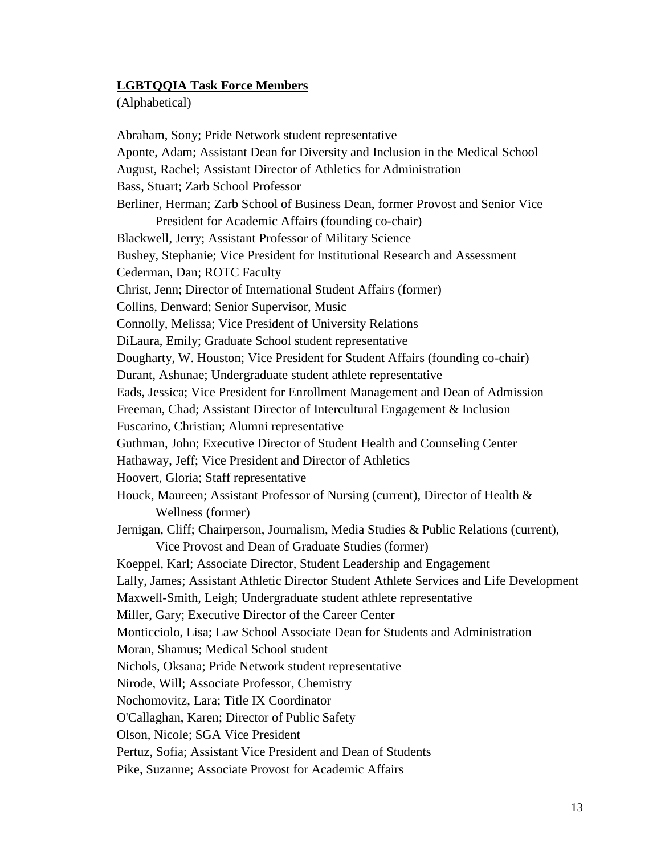#### **LGBTQQIA Task Force Members**

(Alphabetical)

Abraham, Sony; Pride Network student representative Aponte, Adam; Assistant Dean for Diversity and Inclusion in the Medical School August, Rachel; Assistant Director of Athletics for Administration Bass, Stuart; Zarb School Professor Berliner, Herman; Zarb School of Business Dean, former Provost and Senior Vice President for Academic Affairs (founding co-chair) Blackwell, Jerry; Assistant Professor of Military Science Bushey, Stephanie; Vice President for Institutional Research and Assessment Cederman, Dan; ROTC Faculty Christ, Jenn; Director of International Student Affairs (former) Collins, Denward; Senior Supervisor, Music Connolly, Melissa; Vice President of University Relations DiLaura, Emily; Graduate School student representative Dougharty, W. Houston; Vice President for Student Affairs (founding co-chair) Durant, Ashunae; Undergraduate student athlete representative Eads, Jessica; Vice President for Enrollment Management and Dean of Admission Freeman, Chad; Assistant Director of Intercultural Engagement & Inclusion Fuscarino, Christian; Alumni representative Guthman, John; Executive Director of Student Health and Counseling Center Hathaway, Jeff; Vice President and Director of Athletics Hoovert, Gloria; Staff representative Houck, Maureen; Assistant Professor of Nursing (current), Director of Health & Wellness (former) Jernigan, Cliff; Chairperson, Journalism, Media Studies & Public Relations (current), Vice Provost and Dean of Graduate Studies (former) Koeppel, Karl; Associate Director, Student Leadership and Engagement Lally, James; Assistant Athletic Director Student Athlete Services and Life Development Maxwell-Smith, Leigh; Undergraduate student athlete representative Miller, Gary; Executive Director of the Career Center Monticciolo, Lisa; Law School Associate Dean for Students and Administration Moran, Shamus; Medical School student Nichols, Oksana; Pride Network student representative Nirode, Will; Associate Professor, Chemistry Nochomovitz, Lara; Title IX Coordinator O'Callaghan, Karen; Director of Public Safety Olson, Nicole; SGA Vice President Pertuz, Sofia; Assistant Vice President and Dean of Students Pike, Suzanne; Associate Provost for Academic Affairs